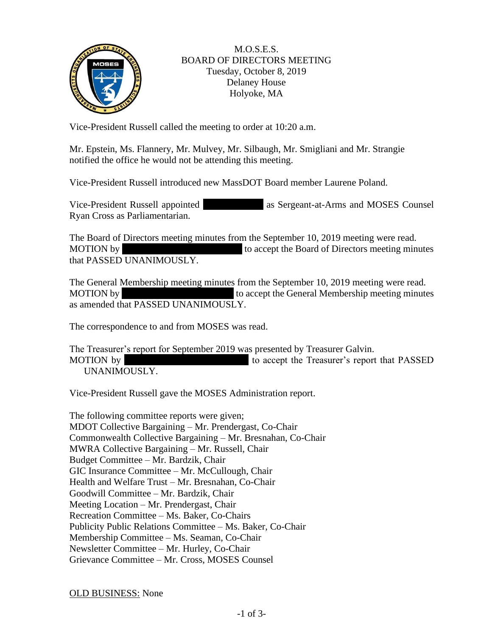

## M.O.S.E.S. BOARD OF DIRECTORS MEETING Tuesday, October 8, 2019 Delaney House Holyoke, MA

Vice-President Russell called the meeting to order at 10:20 a.m.

Mr. Epstein, Ms. Flannery, Mr. Mulvey, Mr. Silbaugh, Mr. Smigliani and Mr. Strangie notified the office he would not be attending this meeting.

Vice-President Russell introduced new MassDOT Board member Laurene Poland.

Vice-President Russell appointed as Sergeant-at-Arms and MOSES Counsel Ryan Cross as Parliamentarian.

The Board of Directors meeting minutes from the September 10, 2019 meeting were read. MOTION by to accept the Board of Directors meeting minutes that PASSED UNANIMOUSLY.

The General Membership meeting minutes from the September 10, 2019 meeting were read. MOTION by  $\blacksquare$  to accept the General Membership meeting minutes as amended that PASSED UNANIMOUSLY.

The correspondence to and from MOSES was read.

The Treasurer's report for September 2019 was presented by Treasurer Galvin. MOTION by MOTION by to accept the Treasurer's report that PASSED UNANIMOUSLY.

Vice-President Russell gave the MOSES Administration report.

The following committee reports were given; MDOT Collective Bargaining – Mr. Prendergast, Co-Chair Commonwealth Collective Bargaining – Mr. Bresnahan, Co-Chair MWRA Collective Bargaining – Mr. Russell, Chair Budget Committee – Mr. Bardzik, Chair GIC Insurance Committee – Mr. McCullough, Chair Health and Welfare Trust – Mr. Bresnahan, Co-Chair Goodwill Committee – Mr. Bardzik, Chair Meeting Location – Mr. Prendergast, Chair Recreation Committee – Ms. Baker, Co-Chairs Publicity Public Relations Committee – Ms. Baker, Co-Chair Membership Committee – Ms. Seaman, Co-Chair Newsletter Committee – Mr. Hurley, Co-Chair Grievance Committee – Mr. Cross, MOSES Counsel

OLD BUSINESS: None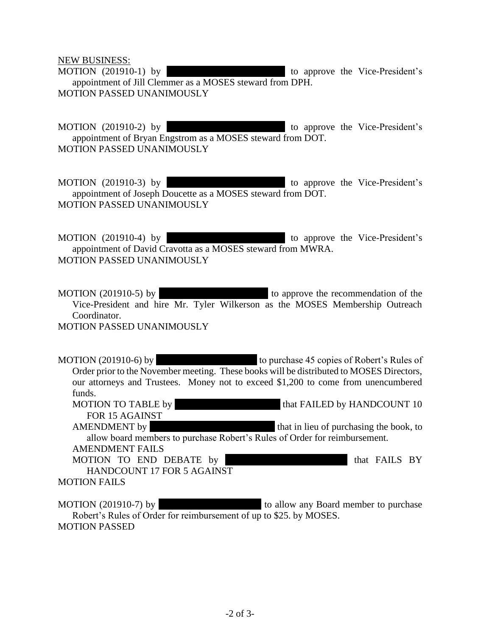NEW BUSINESS:

MOTION (201910-1) by to approve the Vice-President's appointment of Jill Clemmer as a MOSES steward from DPH. MOTION PASSED UNANIMOUSLY

MOTION (201910-2) by to approve the Vice-President's appointment of Bryan Engstrom as a MOSES steward from DOT. MOTION PASSED UNANIMOUSLY

MOTION (201910-3) by to approve the Vice-President's appointment of Joseph Doucette as a MOSES steward from DOT. MOTION PASSED UNANIMOUSLY

MOTION (201910-4) by  $\blacksquare$  to approve the Vice-President's appointment of David Cravotta as a MOSES steward from MWRA. MOTION PASSED UNANIMOUSLY

MOTION (201910-5) by to approve the recommendation of the Vice-President and hire Mr. Tyler Wilkerson as the MOSES Membership Outreach Coordinator. MOTION PASSED UNANIMOUSLY

MOTION (201910-6) by to purchase 45 copies of Robert's Rules of Order prior to the November meeting. These books will be distributed to MOSES Directors, our attorneys and Trustees. Money not to exceed \$1,200 to come from unencumbered funds. MOTION TO TABLE by MANDCOUNT 10

FOR 15 AGAINST AMENDMENT by that in lieu of purchasing the book, to allow board members to purchase Robert's Rules of Order for reimbursement.

AMENDMENT FAILS

MOTION TO END DEBATE by MR. BELLINO MANUS TO END DEBATE by MR. BELLINO CONTROLLER BY HANDCOUNT 17 FOR 5 AGAINST

MOTION FAILS

MOTION (201910-7) by to allow any Board member to purchase Robert's Rules of Order for reimbursement of up to \$25. by MOSES. MOTION PASSED